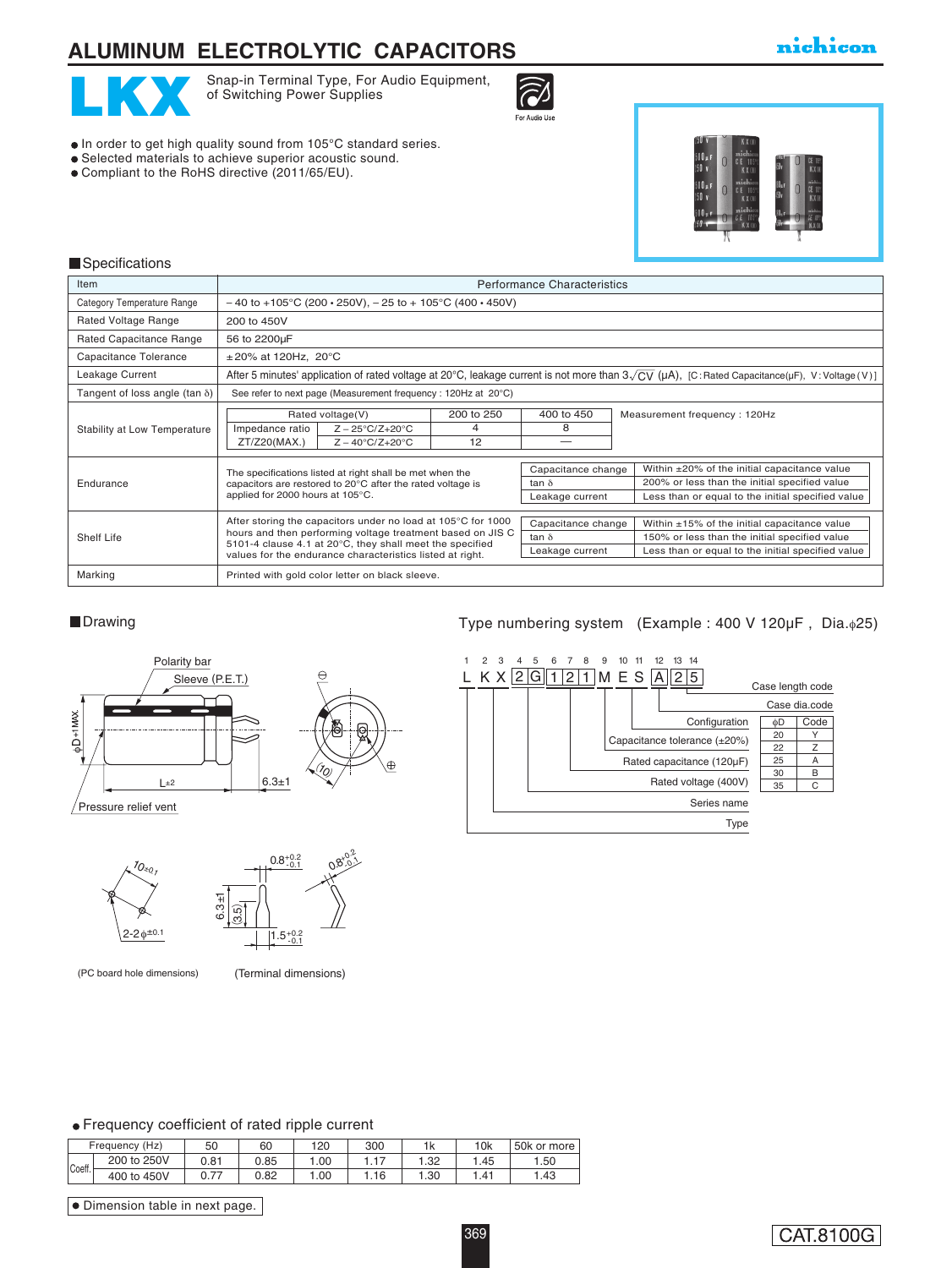# **ALUMINUM ELECTROLYTIC CAPACITORS**

## nichicon



Snap-in Terminal Type, For Audio Equipment,<br>of Switching Power Supplies of Switching Power Supplies



- $\bullet$  In order to get high quality sound from 105°C standard series.
- Selected materials to achieve superior acoustic sound.
- Compliant to the RoHS directive (2011/65/EU).



#### **Specifications**

| Item                                  | <b>Performance Characteristics</b>                                                                                                                                                                                                                  |                       |                                                       |                                                                                                                                                          |  |  |  |
|---------------------------------------|-----------------------------------------------------------------------------------------------------------------------------------------------------------------------------------------------------------------------------------------------------|-----------------------|-------------------------------------------------------|----------------------------------------------------------------------------------------------------------------------------------------------------------|--|--|--|
| Category Temperature Range            | $-40$ to +105°C (200 $\cdot$ 250V), $-25$ to + 105°C (400 $\cdot$ 450V)                                                                                                                                                                             |                       |                                                       |                                                                                                                                                          |  |  |  |
| Rated Voltage Range                   | 200 to 450V                                                                                                                                                                                                                                         |                       |                                                       |                                                                                                                                                          |  |  |  |
| Rated Capacitance Range               | 56 to 2200µF                                                                                                                                                                                                                                        |                       |                                                       |                                                                                                                                                          |  |  |  |
| Capacitance Tolerance                 | $\pm 20\%$ at 120Hz, 20°C                                                                                                                                                                                                                           |                       |                                                       |                                                                                                                                                          |  |  |  |
| Leakage Current                       | After 5 minutes' application of rated voltage at 20°C, leakage current is not more than $3\sqrt{CV}$ (µA), [C: Rated Capacitance(µF), V: Voltage (V)]                                                                                               |                       |                                                       |                                                                                                                                                          |  |  |  |
| Tangent of loss angle (tan $\delta$ ) | See refer to next page (Measurement frequency: 120Hz at 20°C)                                                                                                                                                                                       |                       |                                                       |                                                                                                                                                          |  |  |  |
| Stability at Low Temperature          | Rated voltage(V)<br>Impedance ratio<br>$Z - 25^{\circ}C/Z + 20^{\circ}C$<br>$Z - 40^{\circ}C/Z + 20^{\circ}C$<br>ZT/Z20(MAX.)                                                                                                                       | 200 to 250<br>4<br>12 | 400 to 450<br>8                                       | Measurement frequency: 120Hz                                                                                                                             |  |  |  |
| Endurance                             | The specifications listed at right shall be met when the<br>capacitors are restored to 20°C after the rated voltage is<br>applied for 2000 hours at 105°C.                                                                                          |                       | Capacitance change<br>tan $\delta$<br>Leakage current | Within ±20% of the initial capacitance value<br>200% or less than the initial specified value<br>Less than or equal to the initial specified value       |  |  |  |
| Shelf Life                            | After storing the capacitors under no load at 105°C for 1000<br>hours and then performing voltage treatment based on JIS C<br>5101-4 clause 4.1 at 20°C, they shall meet the specified<br>values for the endurance characteristics listed at right. |                       | Capacitance change<br>tan $\delta$<br>Leakage current | Within $\pm 15\%$ of the initial capacitance value<br>150% or less than the initial specified value<br>Less than or equal to the initial specified value |  |  |  |
| Marking                               | Printed with gold color letter on black sleeve.                                                                                                                                                                                                     |                       |                                                       |                                                                                                                                                          |  |  |  |







### ■Drawing and Type numbering system (Example : 400 V 120μF, Dia.φ25)



#### Frequency coefficient of rated ripple current

|        | Frequency (Hz) | 50   | 60   | 120 | 300 |     | 10k | 50k or more |
|--------|----------------|------|------|-----|-----|-----|-----|-------------|
| Coeff. | 200 to 250V    | 0.81 | 0.85 | .00 |     | .32 | .45 | . .50       |
|        | 400 to 450V    | 77   | 0.82 | .00 | .16 | .30 |     | .43         |

 $\bullet$  Dimension table in next page.

## CAT.8100G